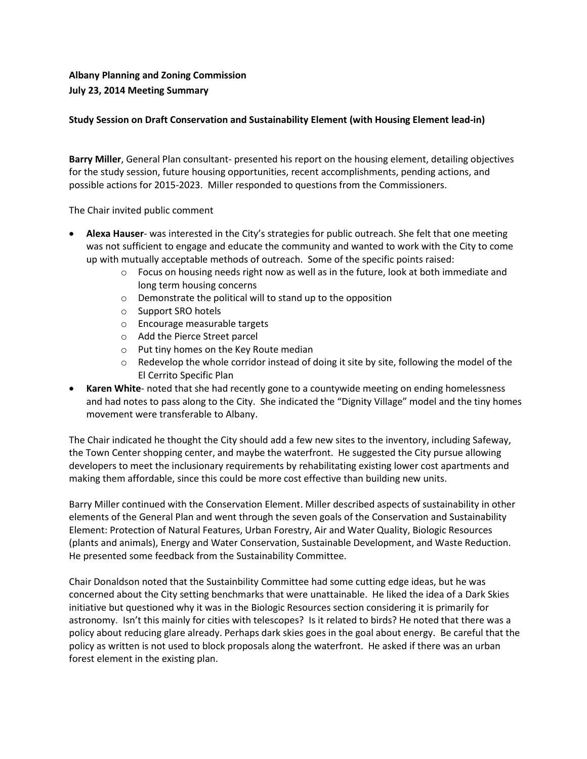## **Albany Planning and Zoning Commission July 23, 2014 Meeting Summary**

## **Study Session on Draft Conservation and Sustainability Element (with Housing Element lead-in)**

**Barry Miller**, General Plan consultant- presented his report on the housing element, detailing objectives for the study session, future housing opportunities, recent accomplishments, pending actions, and possible actions for 2015-2023. Miller responded to questions from the Commissioners.

The Chair invited public comment

- **Alexa Hauser** was interested in the City's strategies for public outreach. She felt that one meeting was not sufficient to engage and educate the community and wanted to work with the City to come up with mutually acceptable methods of outreach. Some of the specific points raised:
	- $\circ$  Focus on housing needs right now as well as in the future, look at both immediate and long term housing concerns
	- o Demonstrate the political will to stand up to the opposition
	- o Support SRO hotels
	- o Encourage measurable targets
	- o Add the Pierce Street parcel
	- o Put tiny homes on the Key Route median
	- $\circ$  Redevelop the whole corridor instead of doing it site by site, following the model of the El Cerrito Specific Plan
- **Karen White** noted that she had recently gone to a countywide meeting on ending homelessness and had notes to pass along to the City. She indicated the "Dignity Village" model and the tiny homes movement were transferable to Albany.

The Chair indicated he thought the City should add a few new sites to the inventory, including Safeway, the Town Center shopping center, and maybe the waterfront. He suggested the City pursue allowing developers to meet the inclusionary requirements by rehabilitating existing lower cost apartments and making them affordable, since this could be more cost effective than building new units.

Barry Miller continued with the Conservation Element. Miller described aspects of sustainability in other elements of the General Plan and went through the seven goals of the Conservation and Sustainability Element: Protection of Natural Features, Urban Forestry, Air and Water Quality, Biologic Resources (plants and animals), Energy and Water Conservation, Sustainable Development, and Waste Reduction. He presented some feedback from the Sustainability Committee.

Chair Donaldson noted that the Sustainbility Committee had some cutting edge ideas, but he was concerned about the City setting benchmarks that were unattainable. He liked the idea of a Dark Skies initiative but questioned why it was in the Biologic Resources section considering it is primarily for astronomy. Isn't this mainly for cities with telescopes? Is it related to birds? He noted that there was a policy about reducing glare already. Perhaps dark skies goes in the goal about energy. Be careful that the policy as written is not used to block proposals along the waterfront. He asked if there was an urban forest element in the existing plan.